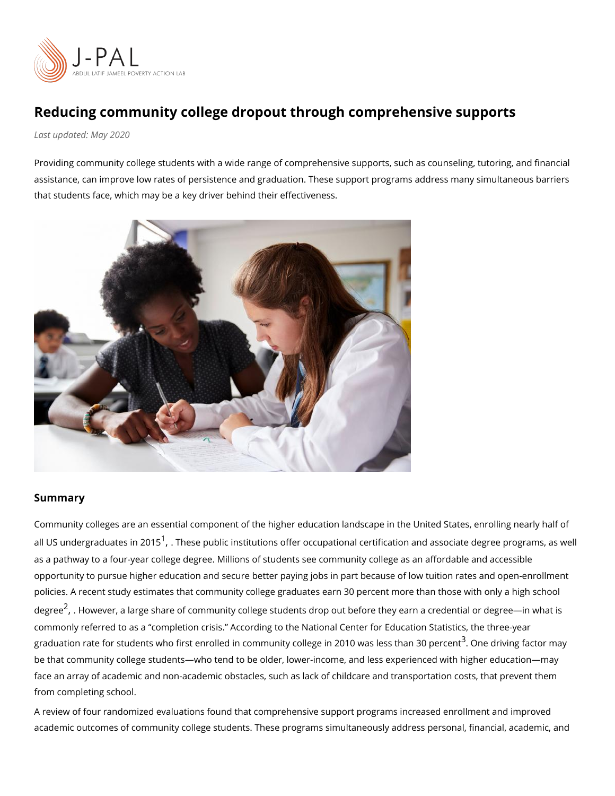## Reducing community college dropout through comprehensive  $Last upd$   $2020$

Providing community college students with a wide range of comprehensive supports, such assistance, can improve low rates of persistence and graduation. These support programs that students face, which may be a key driver behind their effectiveness.

## Summary

Community colleges are an essential component of the higher education landscape in the all US undergraduates Tme2s0e[1](#page-4-0) public institutions offer occupational certification and assoc as a pathway to a four-year college degree. Millions of students see community college as opportunity to pursue higher education and secure better paying jobs in part because of I policies. A recent study estimates that community college graduates earn 30 percent more degree However[,](#page-4-0) a large share of community college students drop out before they earn a commonly referred to as a completion crisis. According to the National Center for Educa graduation rate for students who first enrolled in community colle $\vec{g}$ e Ome2 0d1r0viwagsfbeecstsorthmaa be that community college students who tend to be older, lower-income, and less experier face an array of academic and non-academic obstacles, such as lack of childcare and trar from completing school.

A review of four randomized evaluations found that comprehensive support programs incre academic outcomes of community college students. These programs simultaneously addres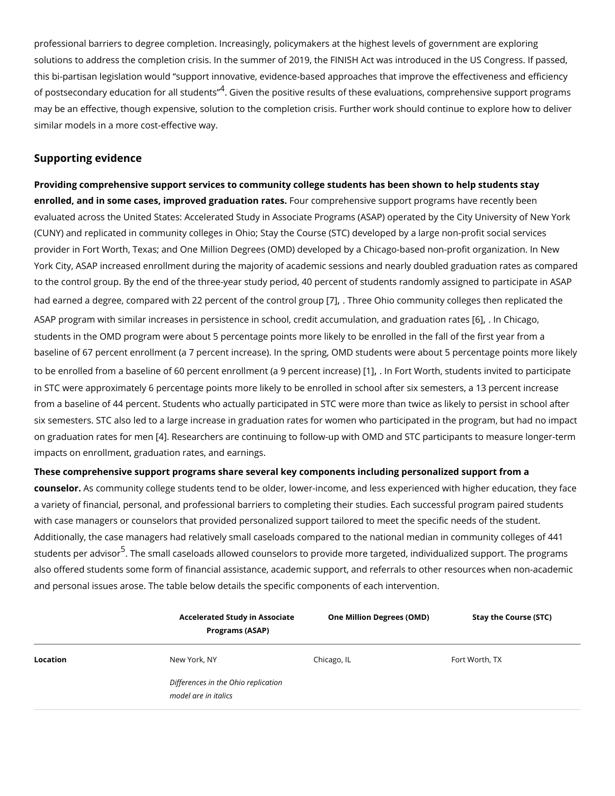professional barriers to degree completion. Increasingly, policymakers at the highest leve solutions to address the completion crisis. In the summer of 2019, the FINISH Act was int this bi-partisan legislation would support innovative, evidence-based approaches that im of postsecondary education for Gailvesntutdheenps sitive results of these evaluations, comprehen may be an effective, though expensive, solution to the completion crisis. Further work sho similar models in a more cost-effective way.

## Supporting evidence

Providing comprehensive support services to community college students has been shown enrolled, and in some cases, improved gFeduation remembessive support programs have recent evaluated across the United States: Accelerated Study in Associate Programs (ASAP) ope (CUNY) and replicated in community colleges in Ohio; Stay the Course (STC) developed b provider in Fort Worth, Texas; and One Million Degrees (OMD) developed by a Chicago-ba York City, ASAP increased enrollment during the majority of academic sessions and nearly to the control group. By the end of the three-year study period, 40 percent of students ra had earned a degree, compared with 22 perce[n7t].off hineecontino communum ity colleges th[en](#page-4-0) replication ASAP program with similar increases in persistence in school[,](#page-4-0) credif 64 cd am Cullactagno, and g students in the OMD program were about 5 percentage points more likely to be enrolled in baseline of 67 percent enrollment (a 7 percent increase). In the spring, OMD students we to be enrolled from a baseline of 60 percent enroll[me](#page-4-0)nt interent end worth[,](#page-4-0) in tudents invited to in STC were approximately 6 percentage points more likely to be enrolled in school after from a baseline of 44 percent. Students who actually participated in STC were more than six semesters. STC also led to a large increase in graduation rates for women who partici on graduation rate[s](#page-4-0) 4 . B R enseenarchers are continuing to follow-up with OMD and STC particip impacts on enrollment, graduation rates, and earnings.

These comprehensive support programs share several key components including personali counselor. Community college students tend to be older, lower-income, and less experienced with higher education. a variety of financial, personal, and professional barriers to completing their studies. Eaq with case managers or counselors that provided personalized support tailored to meet the Additionally, the case managers had relatively small caseloads compared to the national i students per ad Tibsor small caseloads allowed counselors to provide more targeted, individe also offered students some form of financial assistance, academic support, and referrals and personal issues arose. The table below details the specific components of each interv

|          | Programs (ASAP)                     |             | Accelerated Study in Associ@hee Million Degrees (OMD)Stay the Course (STC) |
|----------|-------------------------------------|-------------|----------------------------------------------------------------------------|
| Location | New York, NY                        | Chicago, IL | Fort Worth, TX                                                             |
|          | Differences in the Ohio replication |             |                                                                            |
|          | model are in italics                |             |                                                                            |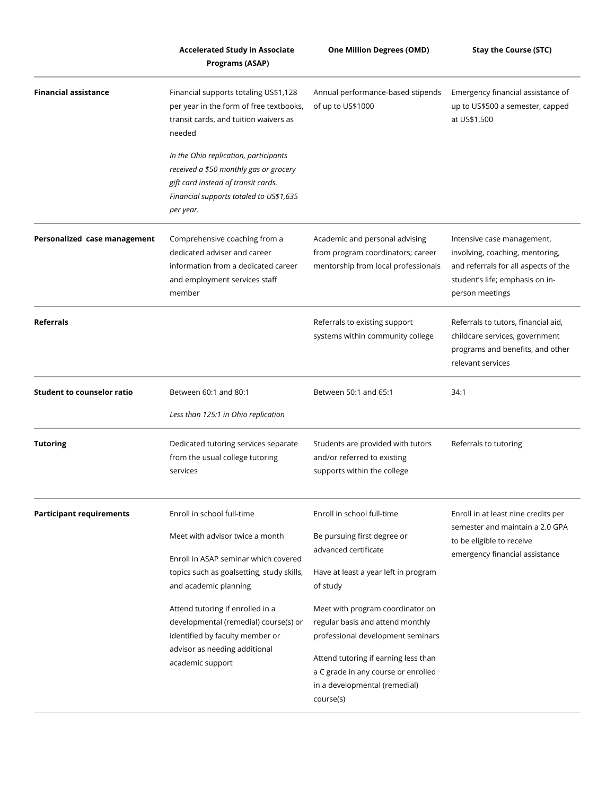|                                   | <b>Accelerated Study in Associate</b>                                                                                                                                          | <b>One Million Degrees (OMD)</b>                                                                                                                  | <b>Stay the Course (STC)</b>                                                                                                                                |
|-----------------------------------|--------------------------------------------------------------------------------------------------------------------------------------------------------------------------------|---------------------------------------------------------------------------------------------------------------------------------------------------|-------------------------------------------------------------------------------------------------------------------------------------------------------------|
|                                   | Programs (ASAP)                                                                                                                                                                |                                                                                                                                                   |                                                                                                                                                             |
| <b>Financial assistance</b>       | Financial supports totaling US\$1,128<br>per year in the form of free textbooks,<br>transit cards, and tuition waivers as<br>needed                                            | Annual performance-based stipends<br>of up to US\$1000                                                                                            | Emergency financial assistance of<br>up to US\$500 a semester, capped<br>at US\$1,500                                                                       |
|                                   | In the Ohio replication, participants<br>received a \$50 monthly gas or grocery<br>gift card instead of transit cards.<br>Financial supports totaled to US\$1,635<br>per year. |                                                                                                                                                   |                                                                                                                                                             |
| Personalized case management      | Comprehensive coaching from a<br>dedicated adviser and career<br>information from a dedicated career<br>and employment services staff<br>member                                | Academic and personal advising<br>from program coordinators; career<br>mentorship from local professionals                                        | Intensive case management,<br>involving, coaching, mentoring,<br>and referrals for all aspects of the<br>student's life; emphasis on in-<br>person meetings |
| <b>Referrals</b>                  |                                                                                                                                                                                | Referrals to existing support<br>systems within community college                                                                                 | Referrals to tutors, financial aid,<br>childcare services, government<br>programs and benefits, and other<br>relevant services                              |
| <b>Student to counselor ratio</b> | Between 60:1 and 80:1<br>Less than 125:1 in Ohio replication                                                                                                                   | Between 50:1 and 65:1                                                                                                                             | 34:1                                                                                                                                                        |
| <b>Tutoring</b>                   | Dedicated tutoring services separate<br>from the usual college tutoring<br>services                                                                                            | Students are provided with tutors<br>and/or referred to existing<br>supports within the college                                                   | Referrals to tutoring                                                                                                                                       |
| <b>Participant requirements</b>   | Enroll in school full-time<br>Meet with advisor twice a month<br>Enroll in ASAP seminar which covered                                                                          | Enroll in school full-time<br>Be pursuing first degree or<br>advanced certificate                                                                 | Enroll in at least nine credits per<br>semester and maintain a 2.0 GPA<br>to be eligible to receive<br>emergency financial assistance                       |
|                                   | topics such as goalsetting, study skills,<br>and academic planning                                                                                                             | Have at least a year left in program<br>of study                                                                                                  |                                                                                                                                                             |
|                                   | Attend tutoring if enrolled in a<br>developmental (remedial) course(s) or<br>identified by faculty member or<br>advisor as needing additional                                  | Meet with program coordinator on<br>regular basis and attend monthly<br>professional development seminars<br>Attend tutoring if earning less than |                                                                                                                                                             |
|                                   | academic support                                                                                                                                                               | a C grade in any course or enrolled<br>in a developmental (remedial)<br>course(s)                                                                 |                                                                                                                                                             |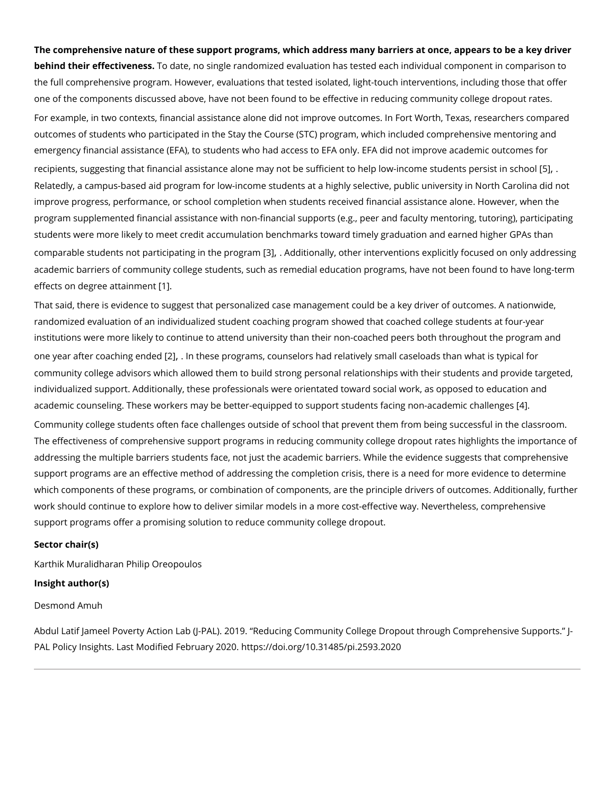The comprehensive nature of these support programs, which address many barriers at onc  $b$ ehind their effecti $\bar{v}$ endeatse, no single randomized evaluation has tested each individual component in comparison to the individual component in component in comparison to the individual component in component in the full comprehensive program. However, evaluations that tested isolated, light-touch int one of the components discussed above, have not been found to be effective in reducing a For example, in two contexts, financial assistance alone did not improve outcomes. In For outcomes of students who participated in the Stay the Course (STC) program, which included comprehensive mento emergency financial assistance (EFA), to students who had access to EFA only. EFA did n recipients, suggesting that financial assistance alone may not be sufficient to [\[5](#page-4-0)]  $\phi$  . . . . . . Relatedly, a campus-based aid program for low-income students at a highly selective, pub improve progress, performance, or school completion when students received financial as program supplemented financial assistance with non-financial supports (e.g., peer and faculty students were more likely to meet credit accumulation benchmarks toward timely graduation comparable students not participati[ng](#page-4-0)].inAdhdetiporroaglig mother interventions explicitly focused academic barriers of community college students, such as remedial education programs, h effects on degree atiainment

That said, there is evidence to suggest that personalized case management could be a ke randomized evaluation of an individualized student coaching program showed that coached institutions were more likely to continue to attend university than their non-coached peer one year after coach[i2h] bend belse programs[,](#page-4-0) counselors had relatively small caseloads tha community college advisors which allowed them to build strong personal relationships wit individualized support. Additionally, these professionals were orientated toward social wo academic counseling. These workers may be better-equipped to support stu<sup>d</sup> ants facing no

Community college students often face challenges outside of school that prevent them fro The effectiveness of comprehensive support programs in reducing community college drop addressing the multiple barriers students face, not just the academic barriers. While the support programs are an effective method of addressing the completion crisis, there is a which components of these programs, or combination of components, are the principle dri work should continue to explore how to deliver similar models in a more cost-effective way support programs offer a promising solution to reduce community college dropout.

Sector chair(s)

[Karthik Murali](https://www.povertyactionlab.org/person/muralidharan)dPhairiapn Oreopoulos Insight author(s)

Desmond Amuh

Abdul Latif Jameel Poverty Action Lab (J-PAL). 2019. Reducing Community College Dropo PAL Policy Insights. Last Modifiedt pFse:b/rdaryorlog0/2100.31485/pi.2593.2020